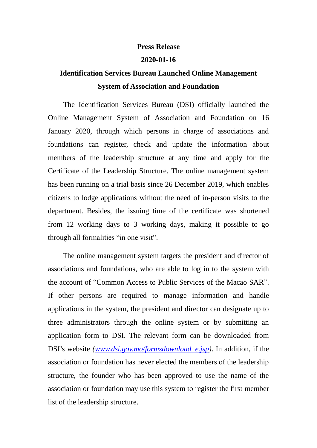## **Press Release**

## **2020-01-16**

## **Identification Services Bureau Launched Online Management System of Association and Foundation**

 The Identification Services Bureau (DSI) officially launched the Online Management System of Association and Foundation on 16 January 2020, through which persons in charge of associations and foundations can register, check and update the information about members of the leadership structure at any time and apply for the Certificate of the Leadership Structure. The online management system has been running on a trial basis since 26 December 2019, which enables citizens to lodge applications without the need of in-person visits to the department. Besides, the issuing time of the certificate was shortened from 12 working days to 3 working days, making it possible to go through all formalities "in one visit".

 The online management system targets the president and director of associations and foundations, who are able to log in to the system with the account of "Common Access to Public Services of the Macao SAR". If other persons are required to manage information and handle applications in the system, the president and director can designate up to three administrators through the online system or by submitting an application form to DSI. The relevant form can be downloaded from DSI's website *(www.dsi.gov.mo/formsdownload e.jsp)*. In addition, if the association or foundation has never elected the members of the leadership structure, the founder who has been approved to use the name of the association or foundation may use this system to register the first member list of the leadership structure.